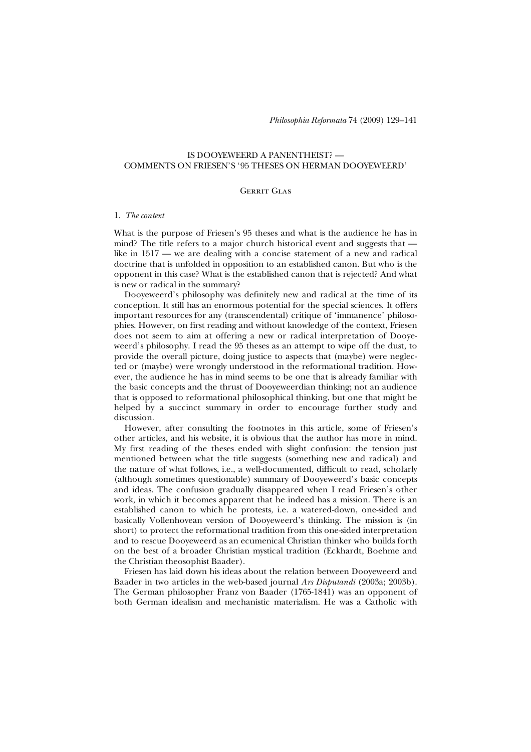# IS DOOYEWEERD A PANENTHEIST? — COMMENTS ON FRIESEN'S '95 THESES ON HERMAN DOOYEWEERD'

# Gerrit Glas

### 1. *The context*

What is the purpose of Friesen's 95 theses and what is the audience he has in mind? The title refers to a major church historical event and suggests that like in 1517 — we are dealing with a concise statement of a new and radical doctrine that is unfolded in opposition to an established canon. But who is the opponent in this case? What is the established canon that is rejected? And what is new or radical in the summary?

Dooyeweerd's philosophy was definitely new and radical at the time of its conception. It still has an enormous potential for the special sciences. It offers important resources for any (transcendental) critique of 'immanence' philosophies. However, on first reading and without knowledge of the context, Friesen does not seem to aim at offering a new or radical interpretation of Dooyeweerd's philosophy. I read the 95 theses as an attempt to wipe off the dust, to provide the overall picture, doing justice to aspects that (maybe) were neglected or (maybe) were wrongly understood in the reformational tradition. However, the audience he has in mind seems to be one that is already familiar with the basic concepts and the thrust of Dooyeweerdian thinking; not an audience that is opposed to reformational philosophical thinking, but one that might be helped by a succinct summary in order to encourage further study and discussion.

However, after consulting the footnotes in this article, some of Friesen's other articles, and his website, it is obvious that the author has more in mind. My first reading of the theses ended with slight confusion: the tension just mentioned between what the title suggests (something new and radical) and the nature of what follows, i.e., a well-documented, difficult to read, scholarly (although sometimes questionable) summary of Dooyeweerd's basic concepts and ideas. The confusion gradually disappeared when I read Friesen's other work, in which it becomes apparent that he indeed has a mission. There is an established canon to which he protests, i.e. a watered-down, one-sided and basically Vollenhovean version of Dooyeweerd's thinking. The mission is (in short) to protect the reformational tradition from this one-sided interpretation and to rescue Dooyeweerd as an ecumenical Christian thinker who builds forth on the best of a broader Christian mystical tradition (Eckhardt, Boehme and the Christian theosophist Baader).

Friesen has laid down his ideas about the relation between Dooyeweerd and Baader in two articles in the web-based journal *Ars Disputandi* (2003a; 2003b). The German philosopher Franz von Baader (1765-1841) was an opponent of both German idealism and mechanistic materialism. He was a Catholic with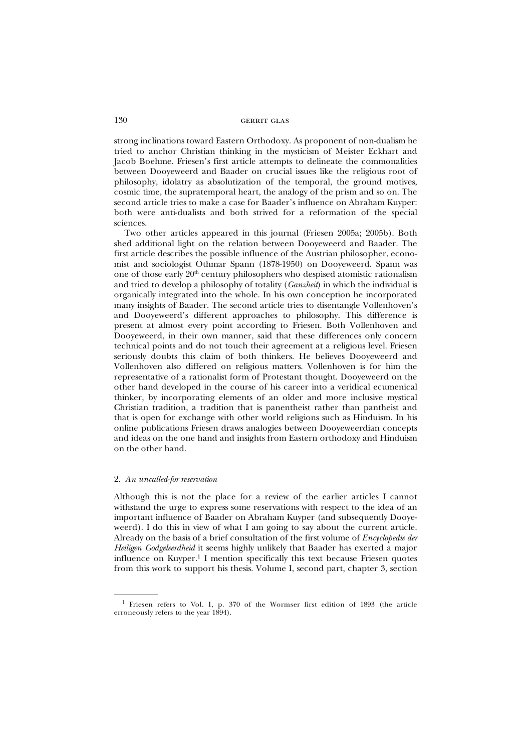strong inclinations toward Eastern Orthodoxy. As proponent of non-dualism he tried to anchor Christian thinking in the mysticism of Meister Eckhart and Jacob Boehme. Friesen's first article attempts to delineate the commonalities between Dooyeweerd and Baader on crucial issues like the religious root of philosophy, idolatry as absolutization of the temporal, the ground motives, cosmic time, the supratemporal heart, the analogy of the prism and so on. The second article tries to make a case for Baader's influence on Abraham Kuyper: both were anti-dualists and both strived for a reformation of the special sciences.

Two other articles appeared in this journal (Friesen 2005a; 2005b). Both shed additional light on the relation between Dooyeweerd and Baader. The first article describes the possible influence of the Austrian philosopher, economist and sociologist Othmar Spann (1878-1950) on Dooyeweerd. Spann was one of those early  $20<sup>th</sup>$  century philosophers who despised atomistic rationalism and tried to develop a philosophy of totality (*Ganzheit*) in which the individual is organically integrated into the whole. In his own conception he incorporated many insights of Baader. The second article tries to disentangle Vollenhoven's and Dooyeweerd's different approaches to philosophy. This difference is present at almost every point according to Friesen. Both Vollenhoven and Dooyeweerd, in their own manner, said that these differences only concern technical points and do not touch their agreement at a religious level. Friesen seriously doubts this claim of both thinkers. He believes Dooyeweerd and Vollenhoven also differed on religious matters. Vollenhoven is for him the representative of a rationalist form of Protestant thought. Dooyeweerd on the other hand developed in the course of his career into a veridical ecumenical thinker, by incorporating elements of an older and more inclusive mystical Christian tradition, a tradition that is panentheist rather than pantheist and that is open for exchange with other world religions such as Hinduism. In his online publications Friesen draws analogies between Dooyeweerdian concepts and ideas on the one hand and insights from Eastern orthodoxy and Hinduism on the other hand.

## 2. *An uncalled-for reservation*

Although this is not the place for a review of the earlier articles I cannot withstand the urge to express some reservations with respect to the idea of an important influence of Baader on Abraham Kuyper (and subsequently Dooyeweerd). I do this in view of what I am going to say about the current article. Already on the basis of a brief consultation of the first volume of *Encyclopedie der Heiligen Godgeleerdheid* it seems highly unlikely that Baader has exerted a major influence on Kuyper. <sup>1</sup> I mention specifically this text because Friesen quotes from this work to support his thesis. Volume I, second part, chapter 3, section

<sup>1</sup> Friesen refers to Vol. I, p. 370 of the Wormser first edition of 1893 (the article erroneously refers to the year 1894).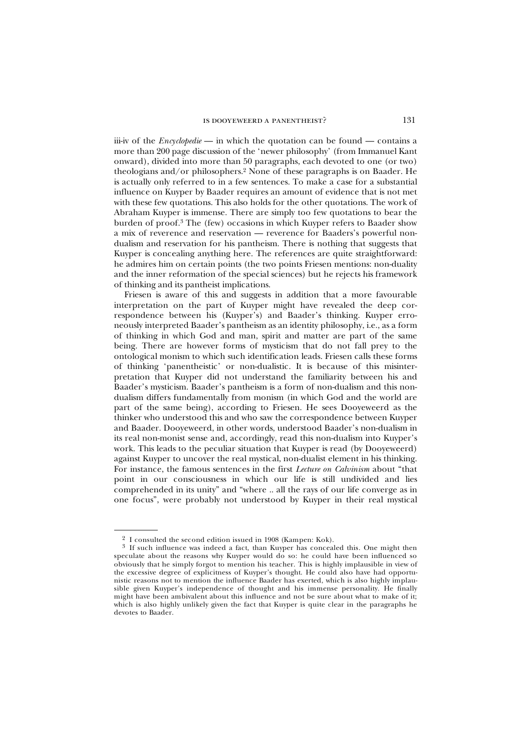iii-iv of the *Encyclopedie* — in which the quotation can be found — contains a more than 200 page discussion of the 'newer philosophy' (from Immanuel Kant onward), divided into more than 50 paragraphs, each devoted to one (or two) theologians and/or philosophers. <sup>2</sup> None of these paragraphs is on Baader. He is actually only referred to in a few sentences. To make a case for a substantial influence on Kuyper by Baader requires an amount of evidence that is not met with these few quotations. This also holds for the other quotations. The work of Abraham Kuyper is immense. There are simply too few quotations to bear the burden of proof. <sup>3</sup> The (few) occasions in which Kuyper refers to Baader show a mix of reverence and reservation — reverence for Baaders's powerful nondualism and reservation for his pantheism. There is nothing that suggests that Kuyper is concealing anything here. The references are quite straightforward: he admires him on certain points (the two points Friesen mentions: non-duality and the inner reformation of the special sciences) but he rejects his framework of thinking and its pantheist implications.

Friesen is aware of this and suggests in addition that a more favourable interpretation on the part of Kuyper might have revealed the deep correspondence between his (Kuyper's) and Baader's thinking. Kuyper erroneously interpreted Baader's pantheism as an identity philosophy, i.e., as a form of thinking in which God and man, spirit and matter are part of the same being. There are however forms of mysticism that do not fall prey to the ontological monism to which such identification leads. Friesen calls these forms of thinking 'panentheistic' or non-dualistic. It is because of this misinterpretation that Kuyper did not understand the familiarity between his and Baader's mysticism. Baader's pantheism is a form of non-dualism and this nondualism differs fundamentally from monism (in which God and the world are part of the same being), according to Friesen. He sees Dooyeweerd as the thinker who understood this and who saw the correspondence between Kuyper and Baader. Dooyeweerd, in other words, understood Baader's non-dualism in its real non-monist sense and, accordingly, read this non-dualism into Kuyper's work. This leads to the peculiar situation that Kuyper is read (by Dooyeweerd) against Kuyper to uncover the real mystical, non-dualist element in his thinking. For instance, the famous sentences in the first *Lecture on Calvinism* about "that point in our consciousness in which our life is still undivided and lies comprehended in its unity" and "where .. all the rays of our life converge as in one focus", were probably not understood by Kuyper in their real mystical

 $^2$  I consulted the second edition issued in 1908 (Kampen: Kok).  $^3$  If such influence was indeed a fact, than Kuyper has concealed this. One might then speculate about the reasons why Kuyper would do so: he could have been influenced so obviously that he simply forgot to mention his teacher. This is highly implausible in view of the excessive degree of explicitness of Kuyper's thought. He could also have had opportunistic reasons not to mention the influence Baader has exerted, which is also highly implausible given Kuyper's independence of thought and his immense personality. He finally might have been ambivalent about this influence and not be sure about what to make of it; which is also highly unlikely given the fact that Kuyper is quite clear in the paragraphs he devotes to Baader.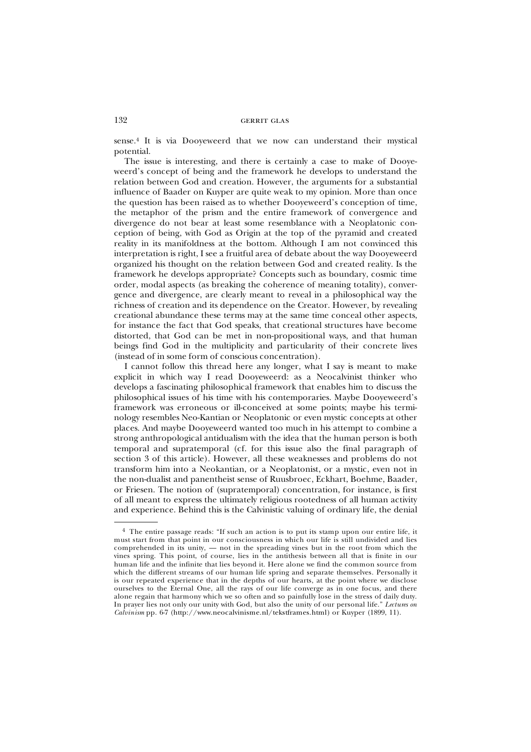sense.4 It is via Dooyeweerd that we now can understand their mystical potential.

The issue is interesting, and there is certainly a case to make of Dooyeweerd's concept of being and the framework he develops to understand the relation between God and creation. However, the arguments for a substantial influence of Baader on Kuyper are quite weak to my opinion. More than once the question has been raised as to whether Dooyeweerd's conception of time, the metaphor of the prism and the entire framework of convergence and divergence do not bear at least some resemblance with a Neoplatonic conception of being, with God as Origin at the top of the pyramid and created reality in its manifoldness at the bottom. Although I am not convinced this interpretation is right, I see a fruitful area of debate about the way Dooyeweerd organized his thought on the relation between God and created reality. Is the framework he develops appropriate? Concepts such as boundary, cosmic time order, modal aspects (as breaking the coherence of meaning totality), convergence and divergence, are clearly meant to reveal in a philosophical way the richness of creation and its dependence on the Creator. However, by revealing creational abundance these terms may at the same time conceal other aspects, for instance the fact that God speaks, that creational structures have become distorted, that God can be met in non-propositional ways, and that human beings find God in the multiplicity and particularity of their concrete lives (instead of in some form of conscious concentration).

I cannot follow this thread here any longer, what I say is meant to make explicit in which way I read Dooyeweerd: as a Neocalvinist thinker who develops a fascinating philosophical framework that enables him to discuss the philosophical issues of his time with his contemporaries. Maybe Dooyeweerd's framework was erroneous or ill-conceived at some points; maybe his terminology resembles Neo-Kantian or Neoplatonic or even mystic concepts at other places. And maybe Dooyeweerd wanted too much in his attempt to combine a strong anthropological antidualism with the idea that the human person is both temporal and supratemporal (cf. for this issue also the final paragraph of section 3 of this article). However, all these weaknesses and problems do not transform him into a Neokantian, or a Neoplatonist, or a mystic, even not in the non-dualist and panentheist sense of Ruusbroec, Eckhart, Boehme, Baader, or Friesen. The notion of (supratemporal) concentration, for instance, is first of all meant to express the ultimately religious rootedness of all human activity and experience. Behind this is the Calvinistic valuing of ordinary life, the denial

<sup>4</sup> The entire passage reads: "If such an action is to put its stamp upon our entire life, it must start from that point in our consciousness in which our life is still undivided and lies comprehended in its unity, — not in the spreading vines but in the root from which the vines spring. This point, of course, lies in the antithesis between all that is finite in our human life and the infinite that lies beyond it. Here alone we find the common source from which the different streams of our human life spring and separate themselves. Personally it is our repeated experience that in the depths of our hearts, at the point where we disclose ourselves to the Eternal One, all the rays of our life converge as in one focus, and there alone regain that harmony which we so often and so painfully lose in the stress of daily duty. In prayer lies not only our unity with God, but also the unity of our personal life." *Lectures on Calvinism* pp. 6-7 (http://www.neocalvinisme.nl/tekstframes.html) or Kuyper (1899, 11).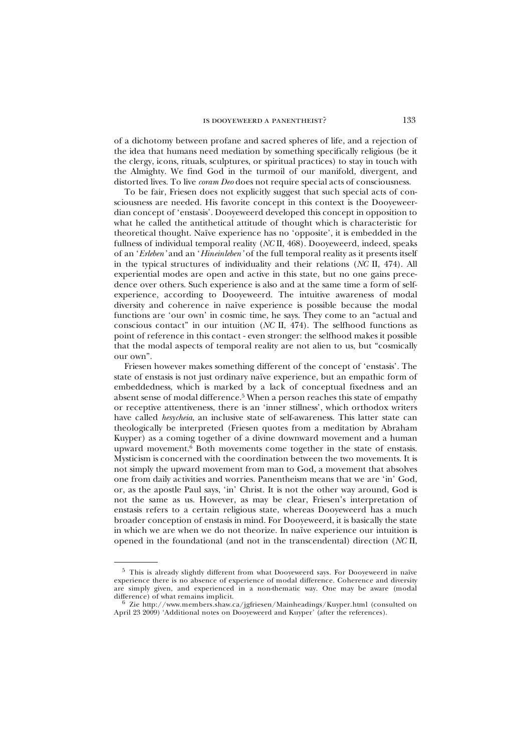of a dichotomy between profane and sacred spheres of life, and a rejection of the idea that humans need mediation by something specifically religious (be it the clergy, icons, rituals, sculptures, or spiritual practices) to stay in touch with the Almighty. We find God in the turmoil of our manifold, divergent, and distorted lives. To live *coram Deo* does not require special acts of consciousness.

To be fair, Friesen does not explicitly suggest that such special acts of consciousness are needed. His favorite concept in this context is the Dooyeweerdian concept of 'enstasis'. Dooyeweerd developed this concept in opposition to what he called the antithetical attitude of thought which is characteristic for theoretical thought. Naïve experience has no 'opposite', it is embedded in the fullness of individual temporal reality (*NC* II, 468). Dooyeweerd, indeed, speaks of an '*Erleben'* and an '*Hineinleben'* of the full temporal reality as it presents itself in the typical structures of individuality and their relations (*NC* II, 474). All experiential modes are open and active in this state, but no one gains precedence over others. Such experience is also and at the same time a form of selfexperience, according to Dooyeweerd. The intuitive awareness of modal diversity and coherence in naïve experience is possible because the modal functions are 'our own' in cosmic time, he says. They come to an "actual and conscious contact" in our intuition (*NC* II, 474). The selfhood functions as point of reference in this contact - even stronger: the selfhood makes it possible that the modal aspects of temporal reality are not alien to us, but "cosmically our own".

Friesen however makes something different of the concept of 'enstasis'. The state of enstasis is not just ordinary naïve experience, but an empathic form of embeddedness, which is marked by a lack of conceptual fixedness and an absent sense of modal difference.5 When a person reaches this state of empathy or receptive attentiveness, there is an 'inner stillness', which orthodox writers have called *hesycheia*, an inclusive state of self-awareness. This latter state can theologically be interpreted (Friesen quotes from a meditation by Abraham Kuyper) as a coming together of a divine downward movement and a human upward movement. <sup>6</sup> Both movements come together in the state of enstasis. Mysticism is concerned with the coordination between the two movements. It is not simply the upward movement from man to God, a movement that absolves one from daily activities and worries. Panentheism means that we are 'in' God, or, as the apostle Paul says, 'in' Christ. It is not the other way around, God is not the same as us. However, as may be clear, Friesen's interpretation of enstasis refers to a certain religious state, whereas Dooyeweerd has a much broader conception of enstasis in mind. For Dooyeweerd, it is basically the state in which we are when we do not theorize. In naïve experience our intuition is opened in the foundational (and not in the transcendental) direction (*NC* II,

<sup>5</sup> This is already slightly different from what Dooyeweerd says. For Dooyeweerd in naïve experience there is no absence of experience of modal difference. Coherence and diversity are simply given, and experienced in a non-thematic way. One may be aware (modal

 $\frac{6}{10}$  Zie http://www.members.shaw.ca/jgfriesen/Mainheadings/Kuyper.html (consulted on April 23 2009) 'Additional notes on Dooyeweerd and Kuyper' (after the references).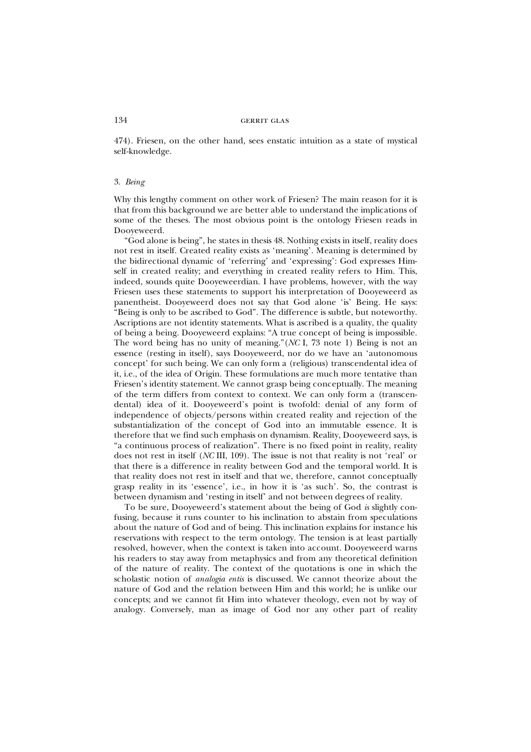474). Friesen, on the other hand, sees enstatic intuition as a state of mystical self-knowledge.

## 3. *Being*

Why this lengthy comment on other work of Friesen? The main reason for it is that from this background we are better able to understand the implications of some of the theses. The most obvious point is the ontology Friesen reads in Dooyeweerd.

"God alone is being", he states in thesis 48. Nothing exists in itself, reality does not rest in itself. Created reality exists as 'meaning'. Meaning is determined by the bidirectional dynamic of 'referring' and 'expressing': God expresses Himself in created reality; and everything in created reality refers to Him. This, indeed, sounds quite Dooyeweerdian. I have problems, however, with the way Friesen uses these statements to support his interpretation of Dooyeweerd as panentheist. Dooyeweerd does not say that God alone 'is' Being. He says: "Being is only to be ascribed to God". The difference is subtle, but noteworthy. Ascriptions are not identity statements. What is ascribed is a quality, the quality of being a being. Dooyeweerd explains: "A true concept of being is impossible. The word being has no unity of meaning."(*NC* I, 73 note 1) Being is not an essence (resting in itself), says Dooyeweerd, nor do we have an 'autonomous concept' for such being. We can only form a (religious) transcendental idea of it, i.e., of the idea of Origin. These formulations are much more tentative than Friesen's identity statement. We cannot grasp being conceptually. The meaning of the term differs from context to context. We can only form a (transcendental) idea of it. Dooyeweerd's point is twofold: denial of any form of independence of objects/persons within created reality and rejection of the substantialization of the concept of God into an immutable essence. It is therefore that we find such emphasis on dynamism. Reality, Dooyeweerd says, is "a continuous process of realization". There is no fixed point in reality, reality does not rest in itself (*NC* III, 109). The issue is not that reality is not 'real' or that there is a difference in reality between God and the temporal world. It is that reality does not rest in itself and that we, therefore, cannot conceptually grasp reality in its 'essence', i.e., in how it is 'as such'. So, the contrast is between dynamism and 'resting in itself' and not between degrees of reality.

To be sure, Dooyeweerd's statement about the being of God *is* slightly confusing, because it runs counter to his inclination to abstain from speculations about the nature of God and of being. This inclination explains for instance his reservations with respect to the term ontology. The tension is at least partially resolved, however, when the context is taken into account. Dooyeweerd warns his readers to stay away from metaphysics and from any theoretical definition of the nature of reality. The context of the quotations is one in which the scholastic notion of *analogia entis* is discussed. We cannot theorize about the nature of God and the relation between Him and this world; he is unlike our concepts; and we cannot fit Him into whatever theology, even not by way of analogy. Conversely, man as image of God nor any other part of reality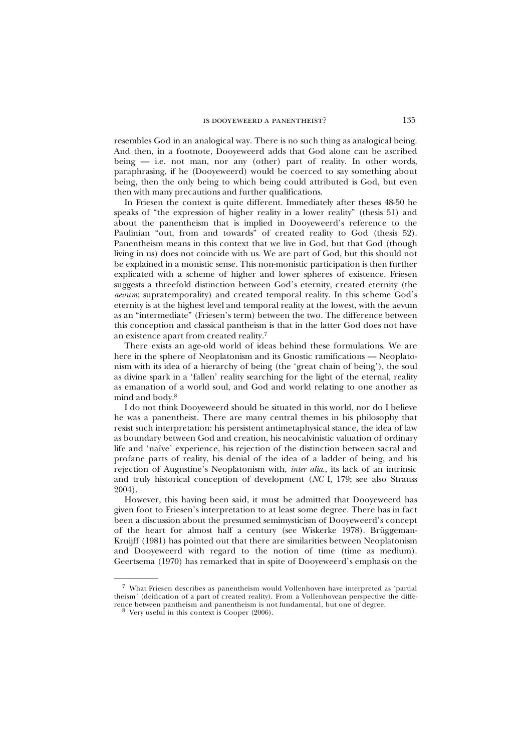resembles God in an analogical way. There is no such thing as analogical being. And then, in a footnote, Dooyeweerd adds that God alone can be ascribed being — i.e. not man, nor any (other) part of reality. In other words, paraphrasing, if he (Dooyeweerd) would be coerced to say something about being, then the only being to which being could attributed is God, but even then with many precautions and further qualifications.

In Friesen the context is quite different. Immediately after theses 48-50 he speaks of "the expression of higher reality in a lower reality" (thesis 51) and about the panentheism that is implied in Dooyeweerd's reference to the Paulinian "out, from and towards" of created reality to God (thesis 52). Panentheism means in this context that we live in God, but that God (though living in us) does not coincide with us. We are part of God, but this should not be explained in a monistic sense. This non-monistic participation is then further explicated with a scheme of higher and lower spheres of existence. Friesen suggests a threefold distinction between God's eternity, created eternity (the *aevum*; supratemporality) and created temporal reality. In this scheme God's eternity is at the highest level and temporal reality at the lowest, with the aevum as an "intermediate" (Friesen's term) between the two. The difference between this conception and classical pantheism is that in the latter God does not have an existence apart from created reality. 7

There exists an age-old world of ideas behind these formulations. We are here in the sphere of Neoplatonism and its Gnostic ramifications — Neoplatonism with its idea of a hierarchy of being (the 'great chain of being'), the soul as divine spark in a 'fallen' reality searching for the light of the eternal, reality as emanation of a world soul, and God and world relating to one another as mind and body. 8

I do not think Dooyeweerd should be situated in this world, nor do I believe he was a panentheist. There are many central themes in his philosophy that resist such interpretation: his persistent antimetaphysical stance, the idea of law as boundary between God and creation, his neocalvinistic valuation of ordinary life and 'naïve' experience, his rejection of the distinction between sacral and profane parts of reality, his denial of the idea of a ladder of being, and his rejection of Augustine's Neoplatonism with, *inter alia*., its lack of an intrinsic and truly historical conception of development (*NC* I, 179; see also Strauss 2004).

However, this having been said, it must be admitted that Dooyeweerd has given foot to Friesen's interpretation to at least some degree. There has in fact been a discussion about the presumed semimysticism of Dooyeweerd's concept of the heart for almost half a century (see Wiskerke 1978). Brüggeman-Kruijff (1981) has pointed out that there are similarities between Neoplatonism and Dooyeweerd with regard to the notion of time (time as medium). Geertsema (1970) has remarked that in spite of Dooyeweerd's emphasis on the

<sup>7</sup> What Friesen describes as panentheism would Vollenhoven have interpreted as 'partial theism' (deification of a part of created reality). From a Vollenhovean perspective the difference between pantheism and panentheism is not fundamental, but one of degree. <sup>8</sup> Very useful in this context is Cooper (2006).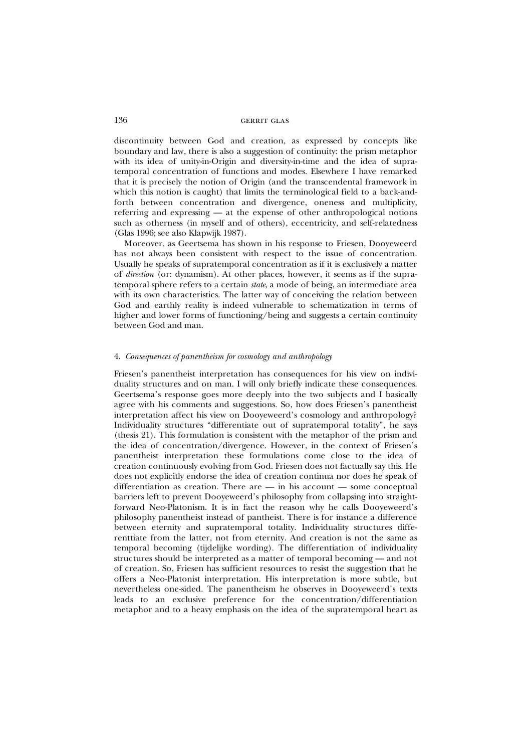discontinuity between God and creation, as expressed by concepts like boundary and law, there is also a suggestion of continuity: the prism metaphor with its idea of unity-in-Origin and diversity-in-time and the idea of supratemporal concentration of functions and modes. Elsewhere I have remarked that it is precisely the notion of Origin (and the transcendental framework in which this notion is caught) that limits the terminological field to a back-andforth between concentration and divergence, oneness and multiplicity, referring and expressing — at the expense of other anthropological notions such as otherness (in myself and of others), eccentricity, and self-relatedness (Glas 1996; see also Klapwijk 1987).

Moreover, as Geertsema has shown in his response to Friesen, Dooyeweerd has not always been consistent with respect to the issue of concentration. Usually he speaks of supratemporal concentration as if it is exclusively a matter of *direction* (or: dynamism). At other places, however, it seems as if the supratemporal sphere refers to a certain *state*, a mode of being, an intermediate area with its own characteristics. The latter way of conceiving the relation between God and earthly reality is indeed vulnerable to schematization in terms of higher and lower forms of functioning/being and suggests a certain continuity between God and man.

# 4. *Consequences of panentheism for cosmology and anthropology*

Friesen's panentheist interpretation has consequences for his view on individuality structures and on man. I will only briefly indicate these consequences. Geertsema's response goes more deeply into the two subjects and I basically agree with his comments and suggestions. So, how does Friesen's panentheist interpretation affect his view on Dooyeweerd's cosmology and anthropology? Individuality structures "differentiate out of supratemporal totality", he says (thesis 21). This formulation is consistent with the metaphor of the prism and the idea of concentration/divergence. However, in the context of Friesen's panentheist interpretation these formulations come close to the idea of creation continuously evolving from God. Friesen does not factually say this. He does not explicitly endorse the idea of creation continua nor does he speak of differentiation as creation. There are — in his account — some conceptual barriers left to prevent Dooyeweerd's philosophy from collapsing into straightforward Neo-Platonism. It is in fact the reason why he calls Dooyeweerd's philosophy panentheist instead of pantheist. There is for instance a difference between eternity and supratemporal totality. Individuality structures differenttiate from the latter, not from eternity. And creation is not the same as temporal becoming (tijdelijke wording). The differentiation of individuality structures should be interpreted as a matter of temporal becoming — and not of creation. So, Friesen has sufficient resources to resist the suggestion that he offers a Neo-Platonist interpretation. His interpretation is more subtle, but nevertheless one-sided. The panentheism he observes in Dooyeweerd's texts leads to an exclusive preference for the concentration/differentiation metaphor and to a heavy emphasis on the idea of the supratemporal heart as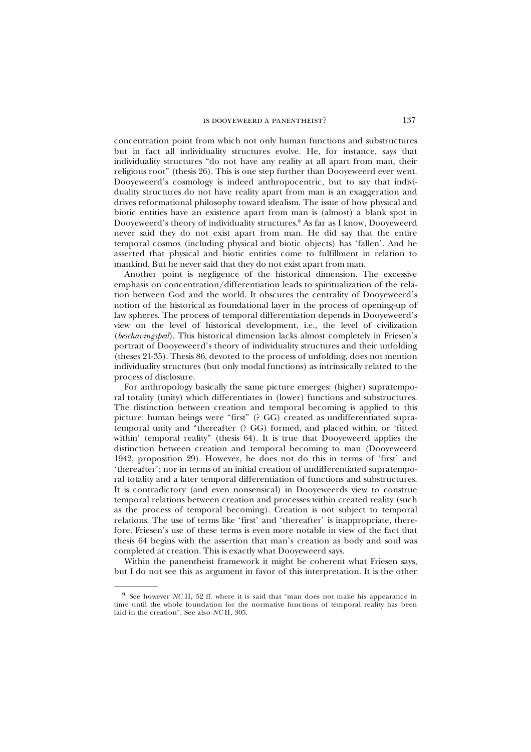concentration point from which not only human functions and substructures but in fact all individuality structures evolve. He, for instance, says that individuality structures "do not have any reality at all apart from man, their religious root" (thesis 26). This is one step further than Dooyeweerd ever went. Dooyeweerd's cosmology is indeed anthropocentric, but to say that individuality structures do not have reality apart from man is an exaggeration and drives reformational philosophy toward idealism. The issue of how physical and biotic entities have an existence apart from man is (almost) a blank spot in Dooyeweerd's theory of individuality structures. <sup>9</sup> As far as I know, Dooyeweerd never said they do not exist apart from man. He did say that the entire temporal cosmos (including physical and biotic objects) has 'fallen'. And he asserted that physical and biotic entities come to fulfillment in relation to mankind. But he never said that they do not exist apart from man.

Another point is negligence of the historical dimension. The excessive emphasis on concentration/differentiation leads to spiritualization of the relation between God and the world. It obscures the centrality of Dooyeweerd's notion of the historical as foundational layer in the process of opening-up of law spheres. The process of temporal differentiation depends in Dooyeweerd's view on the level of historical development, i.e., the level of civilization (*beschavingspeil*). This historical dimension lacks almost completely in Friesen's portrait of Dooyeweerd's theory of individuality structures and their unfolding (theses 21-35). Thesis 86, devoted to the process of unfolding, does not mention individuality structures (but only modal functions) as intrinsically related to the process of disclosure.

For anthropology basically the same picture emerges: (higher) supratemporal totality (unity) which differentiates in (lower) functions and substructures. The distinction between creation and temporal becoming is applied to this picture: human beings were "first" (? GG) created as undifferentiated supratemporal unity and "thereafter (? GG) formed, and placed within, or 'fitted within' temporal reality" (thesis 64). It is true that Dooyeweerd applies the distinction between creation and temporal becoming to man (Dooyeweerd 1942, proposition 29). However, he does not do this in terms of 'first' and 'thereafter'; nor in terms of an initial creation of undifferentiated supratemporal totality and a later temporal differentiation of functions and substructures. It is contradictory (and even nonsensical) in Dooyeweerds view to construe temporal relations between creation and processes within created reality (such as the process of temporal becoming). Creation is not subject to temporal relations. The use of terms like 'first' and 'thereafter' is inappropriate, therefore. Friesen's use of these terms is even more notable in view of the fact that thesis 64 begins with the assertion that man's creation as body and soul was completed at creation. This is exactly what Dooyeweerd says.

Within the panentheist framework it might be coherent what Friesen says, but I do not see this as argument in favor of this interpretation. It is the other

<sup>9</sup> See however *NC* II, 52 ff. where it is said that "man does not make his appearance in time until the whole foundation for the normative functions of temporal reality has been laid in the creation". See also *NC* II, 305.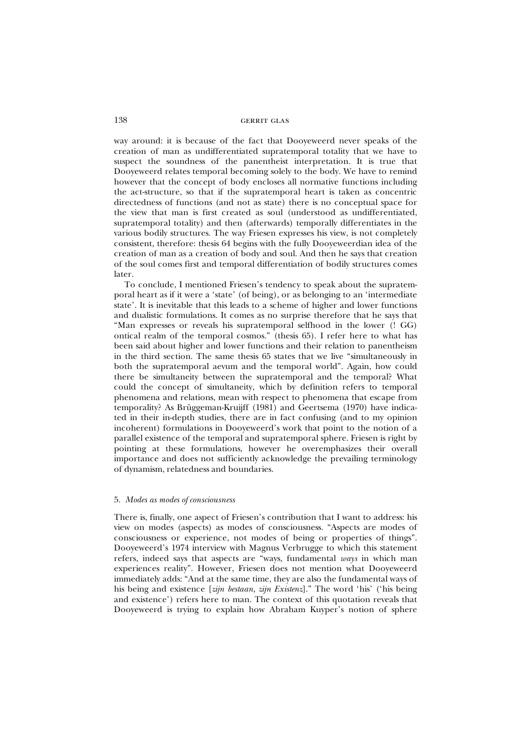way around: it is because of the fact that Dooyeweerd never speaks of the creation of man as undifferentiated supratemporal totality that we have to suspect the soundness of the panentheist interpretation. It is true that Dooyeweerd relates temporal becoming solely to the body. We have to remind however that the concept of body encloses all normative functions including the act-structure, so that if the supratemporal heart is taken as concentric directedness of functions (and not as state) there is no conceptual space for the view that man is first created as soul (understood as undifferentiated, supratemporal totality) and then (afterwards) temporally differentiates in the various bodily structures. The way Friesen expresses his view, is not completely consistent, therefore: thesis 64 begins with the fully Dooyeweerdian idea of the creation of man as a creation of body and soul. And then he says that creation of the soul comes first and temporal differentiation of bodily structures comes later.

To conclude, I mentioned Friesen's tendency to speak about the supratemporal heart as if it were a 'state' (of being), or as belonging to an 'intermediate state'. It is inevitable that this leads to a scheme of higher and lower functions and dualistic formulations. It comes as no surprise therefore that he says that "Man expresses or reveals his supratemporal selfhood in the lower (! GG) ontical realm of the temporal cosmos." (thesis 65). I refer here to what has been said about higher and lower functions and their relation to panentheism in the third section. The same thesis 65 states that we live "simultaneously in both the supratemporal aevum and the temporal world". Again, how could there be simultaneity between the supratemporal and the temporal? What could the concept of simultaneity, which by definition refers to temporal phenomena and relations, mean with respect to phenomena that escape from temporality? As Brüggeman-Kruijff (1981) and Geertsema (1970) have indicated in their in-depth studies, there are in fact confusing (and to my opinion incoherent) formulations in Dooyeweerd's work that point to the notion of a parallel existence of the temporal and supratemporal sphere. Friesen is right by pointing at these formulations, however he overemphasizes their overall importance and does not sufficiently acknowledge the prevailing terminology of dynamism, relatedness and boundaries.

#### 5. *Modes as modes of consciousness*

There is, finally, one aspect of Friesen's contribution that I want to address: his view on modes (aspects) as modes of consciousness. "Aspects are modes of consciousness or experience, not modes of being or properties of things". Dooyeweerd's 1974 interview with Magnus Verbrugge to which this statement refers, indeed says that aspects are "ways, fundamental *ways* in which man experiences reality". However, Friesen does not mention what Dooyeweerd immediately adds: "And at the same time, they are also the fundamental ways of his being and existence [*zijn bestaan, zijn Existenz*]." The word 'his' ('his being and existence') refers here to man. The context of this quotation reveals that Dooyeweerd is trying to explain how Abraham Kuyper's notion of sphere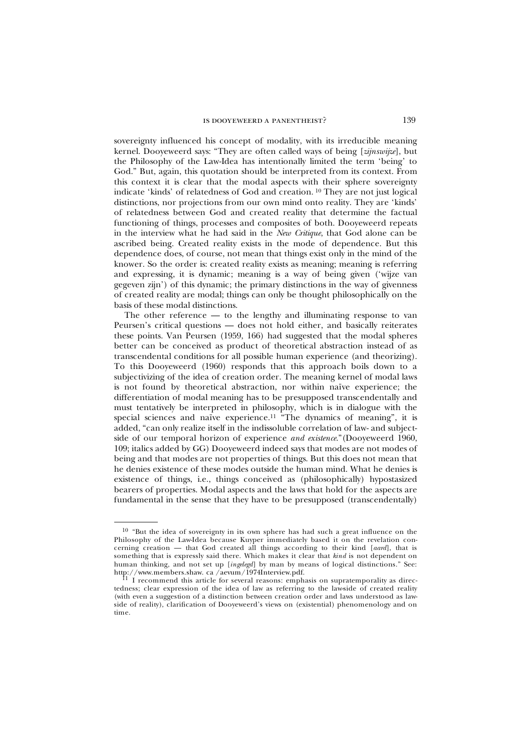sovereignty influenced his concept of modality, with its irreducible meaning kernel. Dooyeweerd says: "They are often called ways of being [*zijnswijze*], but the Philosophy of the Law-Idea has intentionally limited the term 'being' to God." But, again, this quotation should be interpreted from its context. From this context it is clear that the modal aspects with their sphere sovereignty indicate 'kinds' of relatedness of God and creation. <sup>10</sup> They are not just logical distinctions, nor projections from our own mind onto reality. They are 'kinds' of relatedness between God and created reality that determine the factual functioning of things, processes and composites of both. Dooyeweerd repeats in the interview what he had said in the *New Critique*, that God alone can be ascribed being. Created reality exists in the mode of dependence. But this dependence does, of course, not mean that things exist only in the mind of the knower. So the order is: created reality exists as meaning; meaning is referring and expressing, it is dynamic; meaning is a way of being given ('wijze van gegeven zijn') of this dynamic; the primary distinctions in the way of givenness of created reality are modal; things can only be thought philosophically on the basis of these modal distinctions.

The other reference — to the lengthy and illuminating response to van Peursen's critical questions — does not hold either, and basically reiterates these points. Van Peursen (1959, 166) had suggested that the modal spheres better can be conceived as product of theoretical abstraction instead of as transcendental conditions for all possible human experience (and theorizing). To this Dooyeweerd (1960) responds that this approach boils down to a subjectivizing of the idea of creation order. The meaning kernel of modal laws is not found by theoretical abstraction, nor within naïve experience; the differentiation of modal meaning has to be presupposed transcendentally and must tentatively be interpreted in philosophy, which is in dialogue with the special sciences and naïve experience.<sup>11</sup> "The dynamics of meaning", it is added, "can only realize itself in the indissoluble correlation of law- and subjectside of our temporal horizon of experience *and existence*."(Dooyeweerd 1960, 109; italics added by GG) Dooyeweerd indeed says that modes are not modes of being and that modes are not properties of things. But this does not mean that he denies existence of these modes outside the human mind. What he denies is existence of things, i.e., things conceived as (philosophically) hypostasized bearers of properties. Modal aspects and the laws that hold for the aspects are fundamental in the sense that they have to be presupposed (transcendentally)

<sup>10</sup> "But the idea of sovereignty in its own sphere has had such a great influence on the Philosophy of the Law-Idea because Kuyper immediately based it on the revelation concerning creation — that God created all things according to their kind [*aard*], that is something that is expressly said there. Which makes it clear that *kind* is not dependent on human thinking, and not set up [*ingelegd*] by man by means of logical distinctions." See: http://www.members.shaw. ca /aevum/1974Interview.pdf.  $\frac{11}{11}$  I recommend this article for several reasons: emphasis on supratemporality as direc-

tedness; clear expression of the idea of law as referring to the law-side of created reality (with even a suggestion of a distinction between creation order and laws understood as lawside of reality), clarification of Dooyeweerd's views on (existential) phenomenology and on time.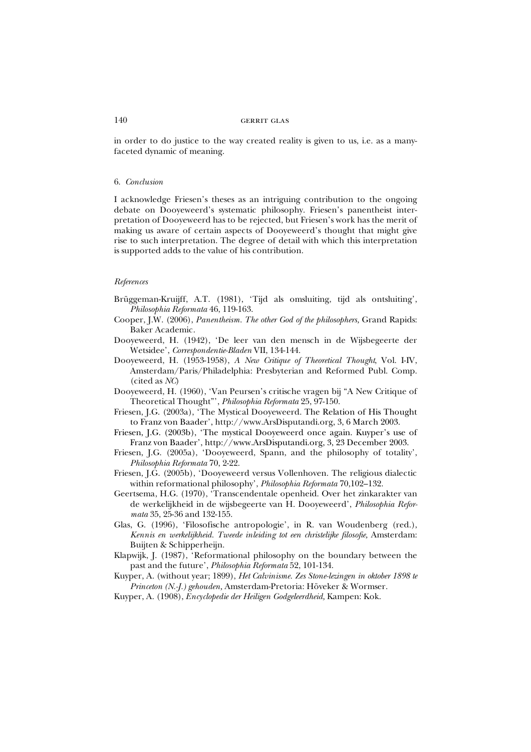in order to do justice to the way created reality is given to us, i.e. as a manyfaceted dynamic of meaning.

## 6. *Conclusion*

I acknowledge Friesen's theses as an intriguing contribution to the ongoing debate on Dooyeweerd's systematic philosophy. Friesen's panentheist interpretation of Dooyeweerd has to be rejected, but Friesen's work has the merit of making us aware of certain aspects of Dooyeweerd's thought that might give rise to such interpretation. The degree of detail with which this interpretation is supported adds to the value of his contribution.

# *References*

- Brüggeman-Kruijff, A.T. (1981), 'Tijd als omsluiting, tijd als ontsluiting', *Philosophia Reformata* 46, 119-163.
- Cooper, J.W. (2006), *Panentheism. The other God of the philosophers,* Grand Rapids: Baker Academic.
- Dooyeweerd, H. (1942), 'De leer van den mensch in de Wijsbegeerte der Wetsidee', *Correspondentie-Bladen* VII, 134-144.
- Dooyeweerd, H. (1953-1958), *A New Critique of Theoretical Thought*, Vol. I-IV, Amsterdam/Paris/Philadelphia: Presbyterian and Reformed Publ. Comp. (cited as *NC*)
- Dooyeweerd, H. (1960), 'Van Peursen's critische vragen bij "A New Critique of Theoretical Thought"', *Philosophia Reformata* 25, 97-150.
- Friesen, J.G. (2003a), 'The Mystical Dooyeweerd. The Relation of His Thought to Franz von Baader', http://www.ArsDisputandi.org, 3, 6 March 2003.
- Friesen, J.G. (2003b), 'The mystical Dooyeweerd once again. Kuyper's use of Franz von Baader', http://www.ArsDisputandi.org, 3, 23 December 2003.
- Friesen, J.G. (2005a), 'Dooyeweerd, Spann, and the philosophy of totality', *Philosophia Reformata* 70, 2-22.
- Friesen, J.G. (2005b), 'Dooyeweerd versus Vollenhoven. The religious dialectic within reformational philosophy', *Philosophia Reformata* 70,102–132.
- Geertsema, H.G. (1970), 'Transcendentale openheid. Over het zinkarakter van de werkelijkheid in de wijsbegeerte van H. Dooyeweerd', *Philosophia Reformata* 35, 25-36 and 132-155.
- Glas, G. (1996), 'Filosofische antropologie', in R. van Woudenberg (red.), *Kennis en werkelijkheid. Tweede inleiding tot een christelijke filosofie,* Amsterdam: Buijten & Schipperheijn.
- Klapwijk, J. (1987), 'Reformational philosophy on the boundary between the past and the future', *Philosophia Reformata* 52, 101-134.
- Kuyper, A. (without year; 1899), *Het Calvinisme. Zes Stone-lezingen in oktober 1898 te Princeton (N.-J.) gehouden,* Amsterdam-Pretoria: Höveker & Wormser.
- Kuyper, A. (1908), *Encyclopedie der Heiligen Godgeleerdheid,* Kampen: Kok.